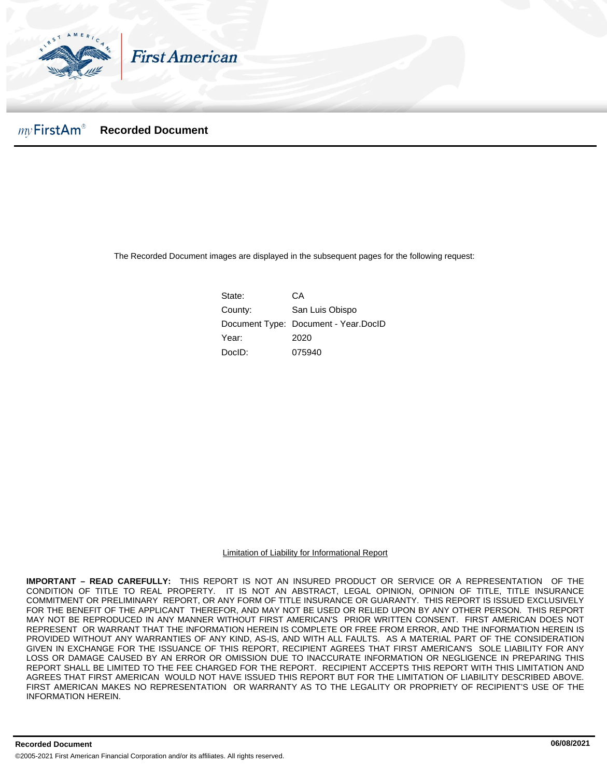

### $mv$ FirstAm® **Recorded Document**

The Recorded Document images are displayed in the subsequent pages for the following request:

State: CA County: San Luis Obispo Document Type: Document - Year.DocID Year: 2020 DocID: 075940

Limitation of Liability for Informational Report

**IMPORTANT – READ CAREFULLY:** THIS REPORT IS NOT AN INSURED PRODUCT OR SERVICE OR A REPRESENTATION OF THE CONDITION OF TITLE TO REAL PROPERTY. IT IS NOT AN ABSTRACT, LEGAL OPINION, OPINION OF TITLE, TITLE INSURANCE COMMITMENT OR PRELIMINARY REPORT, OR ANY FORM OF TITLE INSURANCE OR GUARANTY. THIS REPORT IS ISSUED EXCLUSIVELY FOR THE BENEFIT OF THE APPLICANT THEREFOR, AND MAY NOT BE USED OR RELIED UPON BY ANY OTHER PERSON. THIS REPORT MAY NOT BE REPRODUCED IN ANY MANNER WITHOUT FIRST AMERICAN'S PRIOR WRITTEN CONSENT. FIRST AMERICAN DOES NOT REPRESENT OR WARRANT THAT THE INFORMATION HEREIN IS COMPLETE OR FREE FROM ERROR, AND THE INFORMATION HEREIN IS PROVIDED WITHOUT ANY WARRANTIES OF ANY KIND, AS-IS, AND WITH ALL FAULTS. AS A MATERIAL PART OF THE CONSIDERATION GIVEN IN EXCHANGE FOR THE ISSUANCE OF THIS REPORT, RECIPIENT AGREES THAT FIRST AMERICAN'S SOLE LIABILITY FOR ANY LOSS OR DAMAGE CAUSED BY AN ERROR OR OMISSION DUE TO INACCURATE INFORMATION OR NEGLIGENCE IN PREPARING THIS REPORT SHALL BE LIMITED TO THE FEE CHARGED FOR THE REPORT. RECIPIENT ACCEPTS THIS REPORT WITH THIS LIMITATION AND AGREES THAT FIRST AMERICAN WOULD NOT HAVE ISSUED THIS REPORT BUT FOR THE LIMITATION OF LIABILITY DESCRIBED ABOVE. FIRST AMERICAN MAKES NO REPRESENTATION OR WARRANTY AS TO THE LEGALITY OR PROPRIETY OF RECIPIENT'S USE OF THE INFORMATION HEREIN.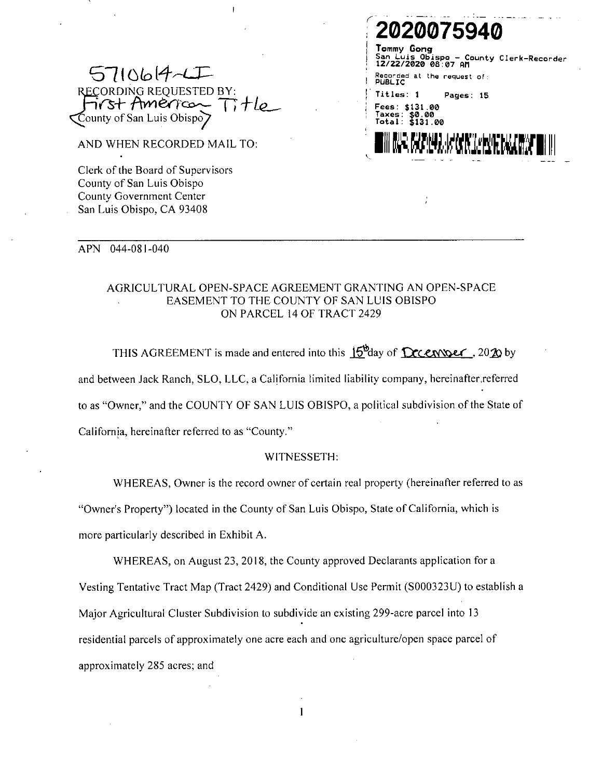

AND WHEN RECORDED MAIL TO:

Clerk of the Board of Supervisors County of San Luis Obispo County Government Center San Luis Obispo, CA 93408

## 20200759 Tommy Gong County Clerk-Recorder spo 22/2020 08:07 AM at the request of: Titles: 1 Pages: 15 \$131.00  $\begin{array}{r} 1.50.00 \\ 3.31.00 \end{array}$ ANS AVAILABLE (ACAR "L'ANGELER")

#### **APN** 044-081-040

# AGRICULTURAL OPEN-SPACE AGREEMENT GRANTING AN OPEN-SPACE EASEMENT TO THE COUNTY OF SAN LUIS OBISPO ON PARCEL 14 OF TRACT 2429

THIS AGREEMENT is made and entered into this  $15<sup>b</sup>$ day of  $Dc$ cenvolat, 2020 by and between Jack Ranch, SLO, LLC, a California limited liability company, hereinafter referred to as "Owner," and the COUNTY OF SAN LUIS OBISPO, a political subdivision of the State of California, hereinafter referred to as "County."

## WITNESSETH:

WHEREAS, Owner is the record owner of certain real property (hereinafter referred to as

"Owner's Property") located in the County of San Luis Obispo, State of California, which is

more particularly described in Exhibit A.

WHEREAS, on August 23, 2018, the County approved Declarants application for a Vesting Tentative Tract Map (Tract 2429) and Conditional Use Permit (S000323U) to establish a Major Agricultural Cluster Subdivision to subdivide an existing 299-acre parcel into 13 residential parcels of approximately one acre each and one agriculture/open space parcel of approximately 285 acres; and

 $\mathbf{1}$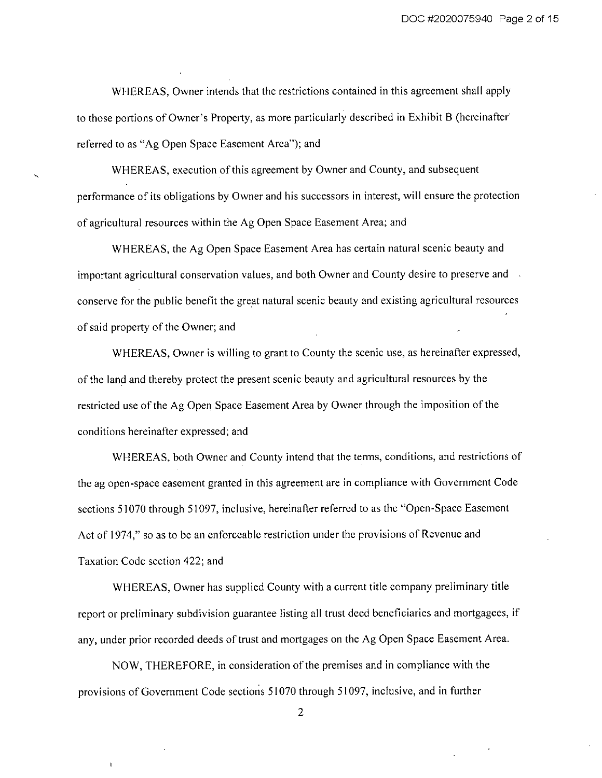WHEREAS, Owner intends that the restrictions contained in this agreement shall apply to those portions of Owner's Property, as more particularly described in Exhibit B (hereinafter) referred to as "Ag Open Space Easement Area"); and

WHEREAS, execution of this agreement by Owner and County, and subsequent performance of its obligations by Owner and his successors in interest, will ensure the protection of agricultural resources within the Ag Open Space Easement Area; and

WHEREAS, the Ag Open Space Easement Area has certain natural scenic beauty and important agricultural conservation values, and both Owner and County desire to preserve and conserve for the public benefit the great natural scenic beauty and existing agricultural resources of said property of the Owner; and

WHEREAS, Owner is willing to grant to County the scenic use, as hereinafter expressed, of the land and thereby protect the present scenic beauty and agricultural resources by the restricted use of the Ag Open Space Easement Area by Owner through the imposition of the conditions hereinafter expressed; and

WHEREAS, both Owner and County intend that the terms, conditions, and restrictions of the ag open-space easement granted in this agreement are in compliance with Government Code sections 51070 through 51097, inclusive, hereinafter referred to as the "Open-Space Easement Act of 1974," so as to be an enforceable restriction under the provisions of Revenue and Taxation Code section 422; and

WHEREAS, Owner has supplied County with a current title company preliminary title report or preliminary subdivision guarantee listing all trust deed beneficiaries and mortgagees, if any, under prior recorded deeds of trust and mortgages on the Ag Open Space Easement Area.

NOW, THEREFORE, in consideration of the premises and in compliance with the provisions of Government Code sections 51070 through 51097, inclusive, and in further

 $\overline{2}$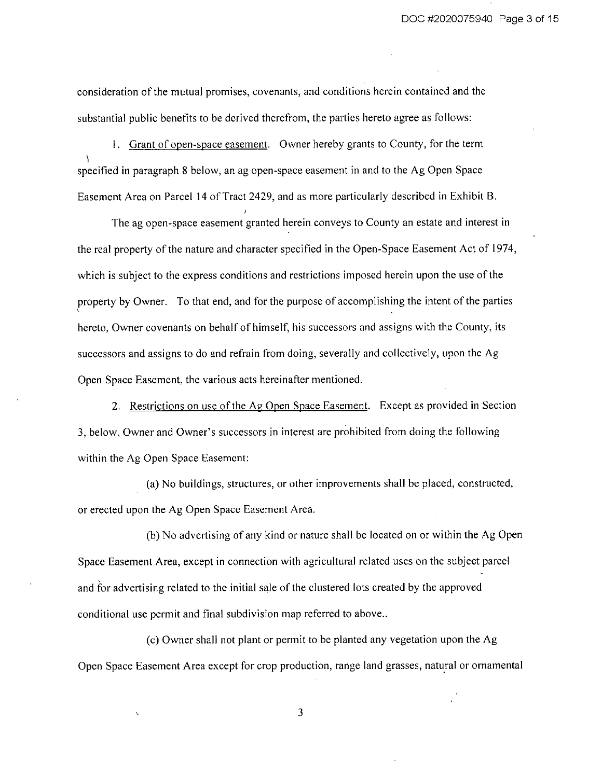consideration of the mutual promises, covenants, and conditions herein contained and the substantial public benefits to be derived therefrom, the parties hereto agree as follows:

1. Grant of open-space easement. Owner hereby grants to County, for the term specified in paragraph 8 below, an ag open-space easement in and to the Ag Open Space Easement Area on Parcel 14 of Tract 2429, and as more particularly described in Exhibit B.

The ag open-space easement granted herein conveys to County an estate and interest in the real property of the nature and character specified in the Open-Space Easement Act of 1974, which is subject to the express conditions and restrictions imposed herein upon the use of the property by Owner. To that end, and for the purpose of accomplishing the intent of the parties hereto, Owner covenants on behalf of himself, his successors and assigns with the County, its successors and assigns to do and refrain from doing, severally and collectively, upon the Ag Open Space Easement, the various acts hereinafter mentioned.

2. Restrictions on use of the Ag Open Space Easement. Except as provided in Section 3, below, Owner and Owner's successors in interest are prohibited from doing the following within the Ag Open Space Easement:

(a) No buildings, structures, or other improvements shall be placed, constructed, or erected upon the Ag Open Space Easement Area.

(b) No advertising of any kind or nature shall be located on or within the Ag Open Space Easement Area, except in connection with agricultural related uses on the subject parcel and for advertising related to the initial sale of the clustered lots created by the approved conditional use permit and final subdivision map referred to above..

(c) Owner shall not plant or permit to be planted any vegetation upon the Ag Open Space Easement Area except for crop production, range land grasses, natural or ornamental

 $\overline{3}$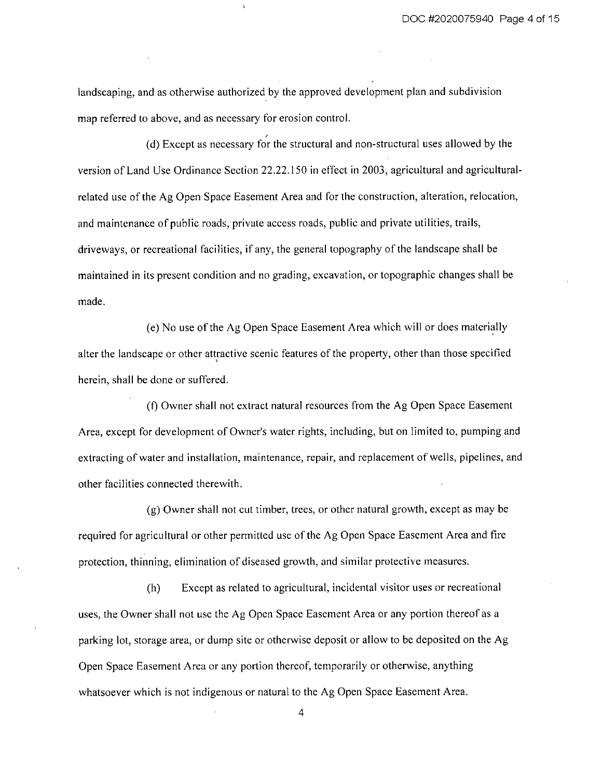landscaping, and as otherwise authorized by the approved development plan and subdivision map referred to above, and as necessary for erosion control.

(d) Except as necessary for the structural and non-structural uses allowed by the version of Land Use Ordinance Section 22.22.150 in effect in 2003, agricultural and agriculturalrelated use of the Ag Open Space Easement Area and for the construction, alteration, relocation, and maintenance of public roads, private access roads, public and private utilities, trails, driveways, or recreational facilities, if any, the general topography of the landscape shall be maintained in its present condition and no grading, excavation, or topographic changes shall be made.

(e) No use of the Ag Open Space Easement Area which will or does materially alter the landscape or other attractive scenic features of the property, other than those specified herein, shall be done or suffered.

(f) Owner shall not extract natural resources from the Ag Open Space Easement Area, except for development of Owner's water rights, including, but on limited to, pumping and extracting of water and installation, maintenance, repair, and replacement of wells, pipelines, and other facilities connected therewith.

(g) Owner shall not cut timber, trees, or other natural growth, except as may be required for agricultural or other permitted use of the Ag Open Space Easement Area and fire protection, thinning, elimination of diseased growth, and similar protective measures.

Except as related to agricultural, incidental visitor uses or recreational  $(h)$ uses, the Owner shall not use the Ag Open Space Easement Area or any portion thereof as a parking lot, storage area, or dump site or otherwise deposit or allow to be deposited on the Ag Open Space Easement Area or any portion thereof, temporarily or otherwise, anything whatsoever which is not indigenous or natural to the Ag Open Space Easement Area.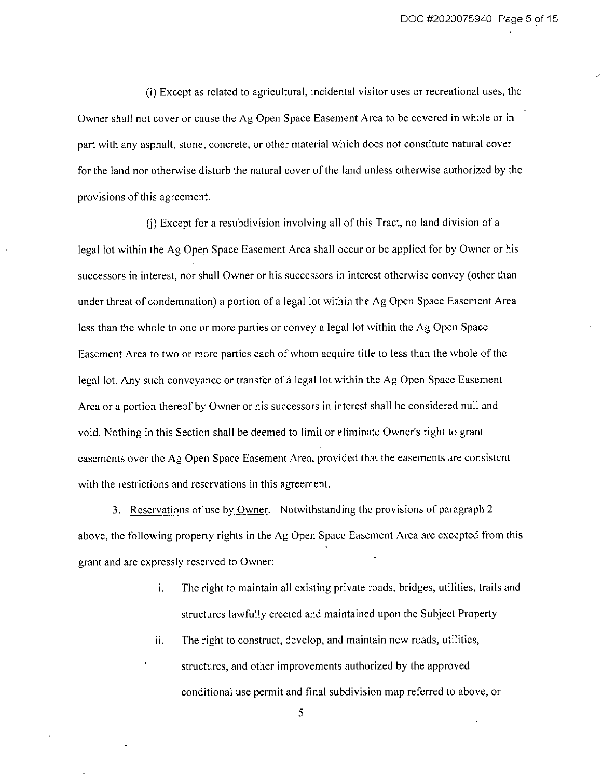(i) Except as related to agricultural, incidental visitor uses or recreational uses, the Owner shall not cover or cause the Ag Open Space Easement Area to be covered in whole or in part with any asphalt, stone, concrete, or other material which does not constitute natural cover for the land nor otherwise disturb the natural cover of the land unless otherwise authorized by the provisions of this agreement.

(i) Except for a resubdivision involving all of this Tract, no land division of a legal lot within the Ag Open Space Easement Area shall occur or be applied for by Owner or his successors in interest, nor shall Owner or his successors in interest otherwise convey (other than under threat of condemnation) a portion of a legal lot within the Ag Open Space Easement Area less than the whole to one or more parties or convey a legal lot within the Ag Open Space Easement Area to two or more parties each of whom acquire title to less than the whole of the legal lot. Any such conveyance or transfer of a legal lot within the Ag Open Space Easement Area or a portion thereof by Owner or his successors in interest shall be considered null and void. Nothing in this Section shall be deemed to limit or eliminate Owner's right to grant easements over the Ag Open Space Easement Area, provided that the easements are consistent with the restrictions and reservations in this agreement.

3. Reservations of use by Owner. Notwithstanding the provisions of paragraph 2 above, the following property rights in the Ag Open Space Easement Area are excepted from this grant and are expressly reserved to Owner:

- The right to maintain all existing private roads, bridges, utilities, trails and i. structures lawfully erected and maintained upon the Subject Property
- ii. The right to construct, develop, and maintain new roads, utilities, structures, and other improvements authorized by the approved conditional use permit and final subdivision map referred to above, or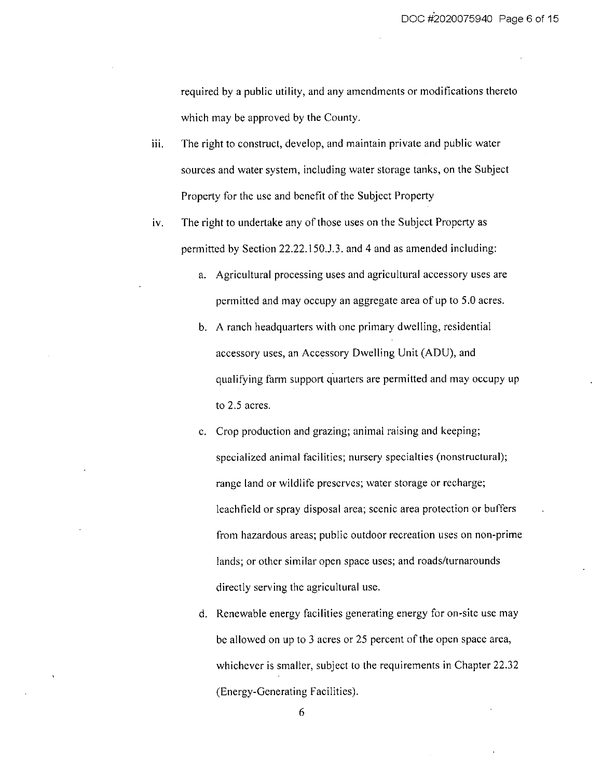required by a public utility, and any amendments or modifications thereto which may be approved by the County.

- iii. The right to construct, develop, and maintain private and public water sources and water system, including water storage tanks, on the Subject Property for the use and benefit of the Subject Property
- iv. The right to undertake any of those uses on the Subject Property as permitted by Section 22.22.150.J.3. and 4 and as amended including:
	- a. Agricultural processing uses and agricultural accessory uses are permitted and may occupy an aggregate area of up to 5.0 acres.
	- b. A ranch headquarters with one primary dwelling, residential accessory uses, an Accessory Dwelling Unit (ADU), and qualifying farm support quarters are permitted and may occupy up to 2.5 acres.
	- c. Crop production and grazing; animal raising and keeping; specialized animal facilities; nursery specialties (nonstructural); range land or wildlife preserves; water storage or recharge; leachfield or spray disposal area; scenic area protection or buffers from hazardous areas; public outdoor recreation uses on non-prime lands; or other similar open space uses; and roads/turnarounds directly serving the agricultural use.
	- d. Renewable energy facilities generating energy for on-site use may be allowed on up to 3 acres or 25 percent of the open space area, whichever is smaller, subject to the requirements in Chapter 22.32 (Energy-Generating Facilities).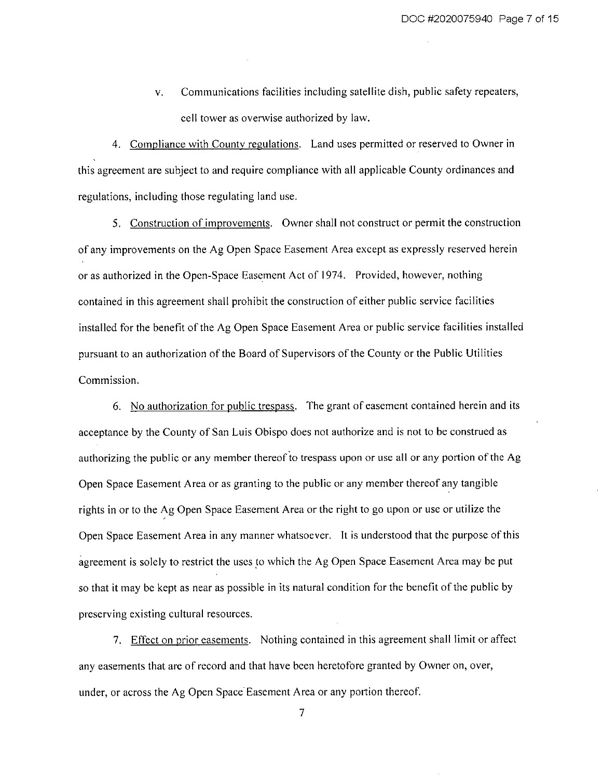Communications facilities including satellite dish, public safety repeaters,  $V_{\bullet}$ cell tower as overwise authorized by law.

4. Compliance with County regulations. Land uses permitted or reserved to Owner in this agreement are subject to and require compliance with all applicable County ordinances and regulations, including those regulating land use.

5. Construction of improvements. Owner shall not construct or permit the construction of any improvements on the Ag Open Space Easement Area except as expressly reserved herein or as authorized in the Open-Space Easement Act of 1974. Provided, however, nothing contained in this agreement shall prohibit the construction of either public service facilities installed for the benefit of the Ag Open Space Easement Area or public service facilities installed pursuant to an authorization of the Board of Supervisors of the County or the Public Utilities Commission.

6. No authorization for public trespass. The grant of easement contained herein and its acceptance by the County of San Luis Obispo does not authorize and is not to be construed as authorizing the public or any member thereof to trespass upon or use all or any portion of the Ag Open Space Easement Area or as granting to the public or any member thereof any tangible rights in or to the Ag Open Space Easement Area or the right to go upon or use or utilize the Open Space Easement Area in any manner whatsoever. It is understood that the purpose of this agreement is solely to restrict the uses to which the Ag Open Space Easement Area may be put so that it may be kept as near as possible in its natural condition for the benefit of the public by preserving existing cultural resources.

7. Effect on prior easements. Nothing contained in this agreement shall limit or affect any easements that are of record and that have been heretofore granted by Owner on, over, under, or across the Ag Open Space Easement Area or any portion thereof.

 $\overline{7}$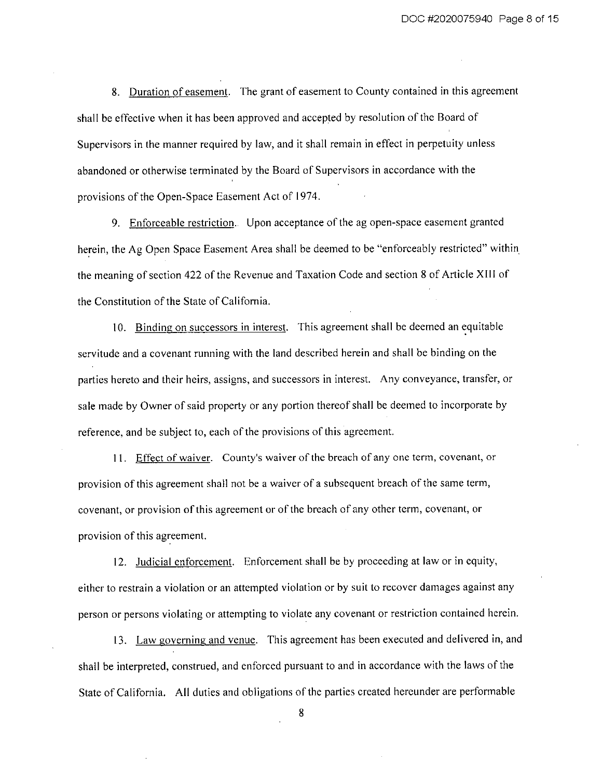8. Duration of easement. The grant of easement to County contained in this agreement shall be effective when it has been approved and accepted by resolution of the Board of Supervisors in the manner required by law, and it shall remain in effect in perpetuity unless abandoned or otherwise terminated by the Board of Supervisors in accordance with the provisions of the Open-Space Easement Act of 1974.

9. Enforceable restriction. Upon acceptance of the ag open-space easement granted herein, the Ag Open Space Easement Area shall be deemed to be "enforceably restricted" within the meaning of section 422 of the Revenue and Taxation Code and section 8 of Article XIII of the Constitution of the State of California.

10. Binding on successors in interest. This agreement shall be deemed an equitable servitude and a covenant running with the land described herein and shall be binding on the parties hereto and their heirs, assigns, and successors in interest. Any conveyance, transfer, or sale made by Owner of said property or any portion thereof shall be deemed to incorporate by reference, and be subject to, each of the provisions of this agreement.

11. Effect of waiver. County's waiver of the breach of any one term, covenant, or provision of this agreement shall not be a waiver of a subsequent breach of the same term, covenant, or provision of this agreement or of the breach of any other term, covenant, or provision of this agreement.

12. Judicial enforcement. Enforcement shall be by proceeding at law or in equity, either to restrain a violation or an attempted violation or by suit to recover damages against any person or persons violating or attempting to violate any covenant or restriction contained herein.

13. Law governing and venue. This agreement has been executed and delivered in, and shall be interpreted, construed, and enforced pursuant to and in accordance with the laws of the State of California. All duties and obligations of the parties created hereunder are performable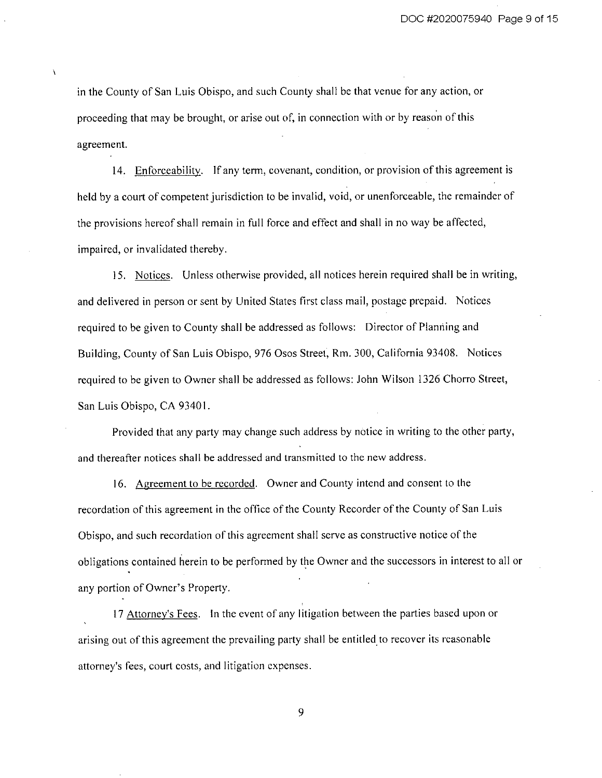in the County of San Luis Obispo, and such County shall be that venue for any action, or proceeding that may be brought, or arise out of, in connection with or by reason of this agreement.

14. Enforceability. If any term, covenant, condition, or provision of this agreement is held by a court of competent jurisdiction to be invalid, void, or unenforceable, the remainder of the provisions hereof shall remain in full force and effect and shall in no way be affected, impaired, or invalidated thereby.

15. Notices. Unless otherwise provided, all notices herein required shall be in writing, and delivered in person or sent by United States first class mail, postage prepaid. Notices required to be given to County shall be addressed as follows: Director of Planning and Building, County of San Luis Obispo, 976 Osos Street, Rm. 300, California 93408. Notices required to be given to Owner shall be addressed as follows: John Wilson 1326 Chorro Street, San Luis Obispo, CA 93401.

Provided that any party may change such address by notice in writing to the other party, and thereafter notices shall be addressed and transmitted to the new address.

16. Agreement to be recorded. Owner and County intend and consent to the recordation of this agreement in the office of the County Recorder of the County of San Luis Obispo, and such recordation of this agreement shall serve as constructive notice of the obligations contained herein to be performed by the Owner and the successors in interest to all or any portion of Owner's Property.

17 Attorney's Fees. In the event of any litigation between the parties based upon or arising out of this agreement the prevailing party shall be entitled to recover its reasonable attorney's fees, court costs, and litigation expenses.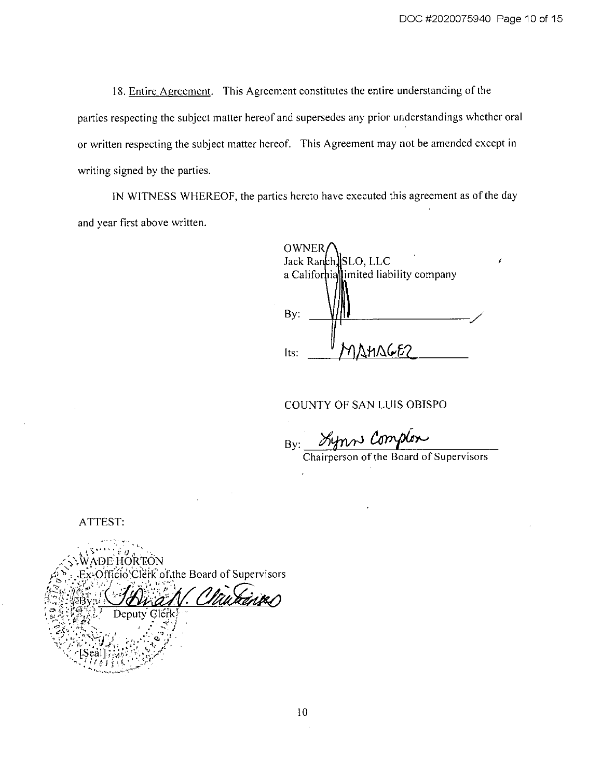18. Entire Agreement. This Agreement constitutes the entire understanding of the parties respecting the subject matter hereof and supersedes any prior understandings whether oral or written respecting the subject matter hereof. This Agreement may not be amended except in writing signed by the parties.

IN WITNESS WHEREOF, the parties hereto have executed this agreement as of the day and year first above written.

**OWNER** Jack Ranch, SLO, LLC a Californiallimited liability company  $By:$ **SHAGE?** Its:

COUNTY OF SAN LUIS OBISPO

Synn Complex  $By:$ Chairperson of the Board of Supervisors

ATTEST:



 $10<sup>10</sup>$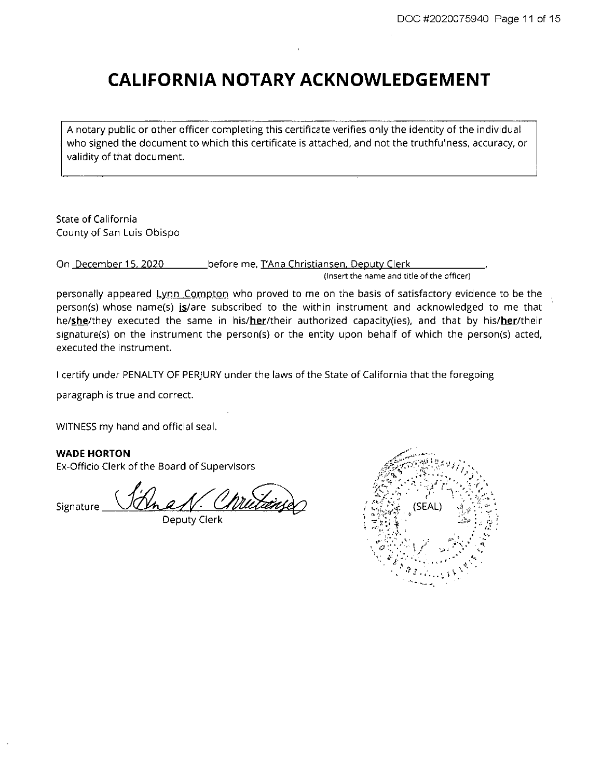# **CALIFORNIA NOTARY ACKNOWLEDGEMENT**

A notary public or other officer completing this certificate verifies only the identity of the individual who signed the document to which this certificate is attached, and not the truthfulness, accuracy, or validity of that document.

State of California County of San Luis Obispo

On December 15, 2020 before me, T'Ana Christiansen, Deputy Clerk

(Insert the name and title of the officer)

personally appeared Lynn Compton who proved to me on the basis of satisfactory evidence to be the person(s) whose name(s) is/are subscribed to the within instrument and acknowledged to me that he/she/they executed the same in his/her/their authorized capacity(ies), and that by his/her/their signature(s) on the instrument the person(s) or the entity upon behalf of which the person(s) acted, executed the instrument.

I certify under PENALTY OF PERJURY under the laws of the State of California that the foregoing

paragraph is true and correct.

WITNESS my hand and official seal.

**WADE HORTON** 

Ex-Officio Clerk of the Board of Supervisors

Signature

Deputy Clerk

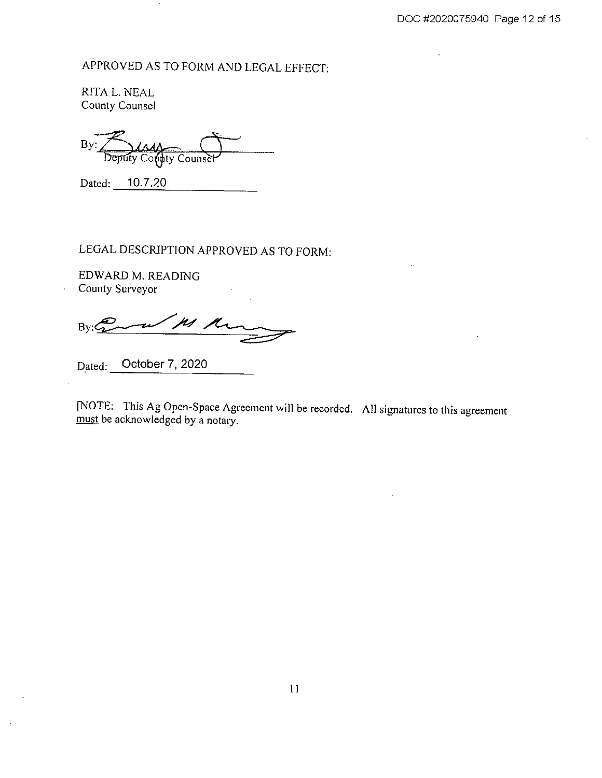APPROVED AS TO FORM AND LEGAL EFFECT:

RITA L. NEAL County Counsel

By: Counse

Dated: 10.7.20

 $\cdot$ 

LEGAL DESCRIPTION APPROVED AS TO FORM:

EDWARD M. READING County Surveyor

 $\angle$  ps  $\mu$  $By: 20$ 

Dated: October 7, 2020

 $\,$  1

[NOTE: This Ag Open-Space Agreement will be recorded. All signatures to this agreement must be acknowledged by a notary.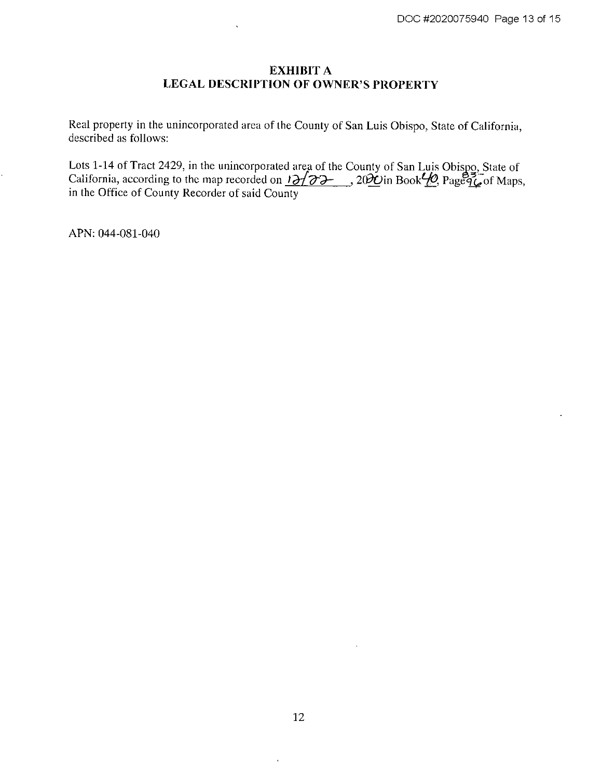# **EXHIBIT A LEGAL DESCRIPTION OF OWNER'S PROPERTY**

Real property in the unincorporated area of the County of San Luis Obispo, State of California, described as follows:

Lots 1-14 of Tract 2429, in the unincorporated area of the County of San Luis Obispo. State of California, according to the map recorded on  $12/22$ ,  $202$  in Book $\frac{10}{2}$ ,  $20\frac{1}{2}$  age  $\frac{3}{2}$  of Maps, in the Offic

APN: 044-081-040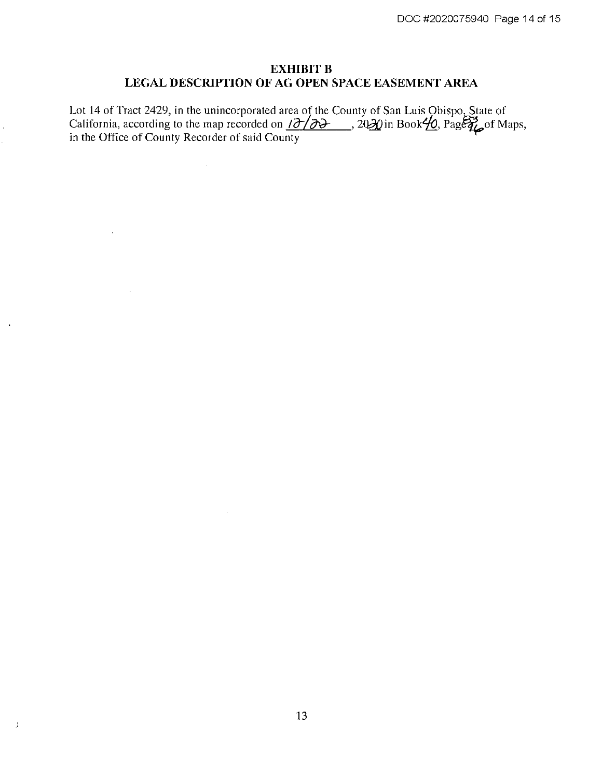# **EXHIBIT B** LEGAL DESCRIPTION OF AG OPEN SPACE EASEMENT AREA

Lot 14 of Tract 2429, in the unincorporated area of the County of San Luis Obispo, State of California, according to the map recorded on  $\overline{107}/\overline{00}$ . 2020 in Book $\overline{40}$ , Page  $\overline{44}$  of Maps, in the Office of C

 $\sim$